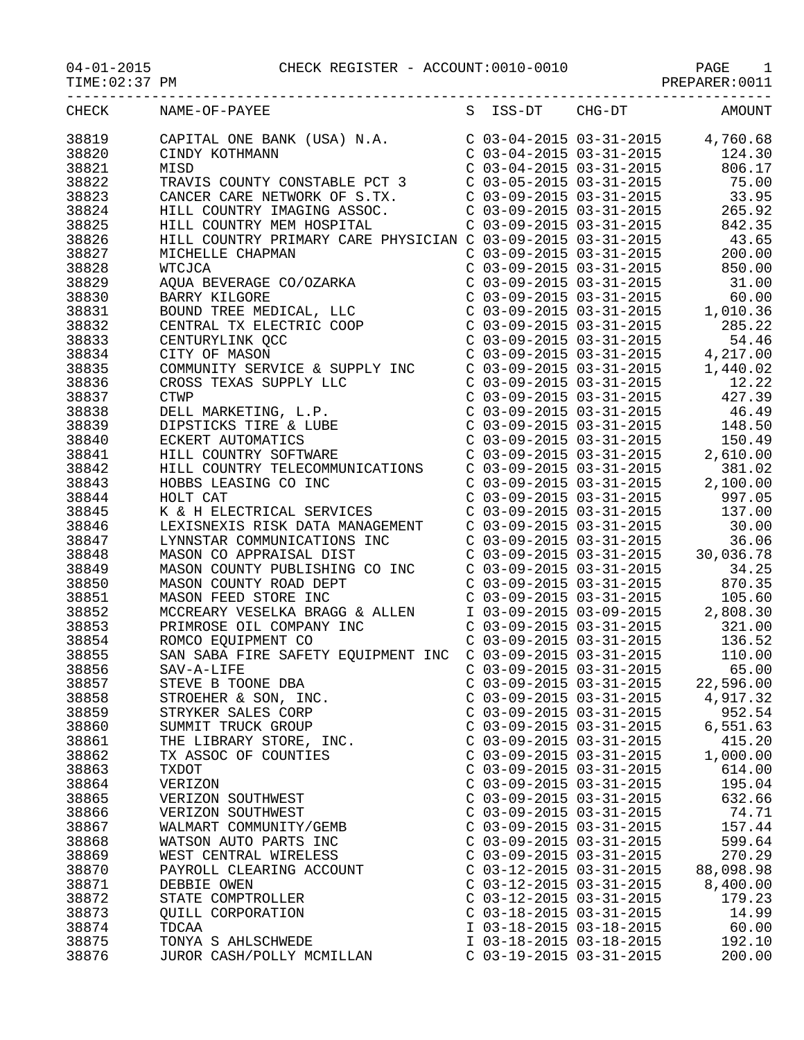| CHECK | NAME-OF-PAYEE                                                                                                                     |                           | S ISS-DT CHG-DT                                                               | AMOUNT                             |
|-------|-----------------------------------------------------------------------------------------------------------------------------------|---------------------------|-------------------------------------------------------------------------------|------------------------------------|
| 38819 | CAPITAL ONE BANK (USA) N.A.                                                                                                       |                           |                                                                               | $C$ 03-04-2015 03-31-2015 4,760.68 |
| 38820 | CINDY KOTHMANN                                                                                                                    |                           | $C$ 03-04-2015 03-31-2015                                                     | 124.30                             |
| 38821 | MISD                                                                                                                              |                           | $C$ 03-04-2015 03-31-2015                                                     | 806.17                             |
| 38822 | TRAVIS COUNTY CONSTABLE PCT 3                                                                                                     |                           | C 03-05-2015 03-31-2015                                                       | 75.00                              |
| 38823 | CANCER CARE NETWORK OF S.TX.                                                                                                      |                           | C 03-09-2015 03-31-2015                                                       | 33.95                              |
| 38824 | HILL COUNTRY IMAGING ASSOC.                                                                                                       |                           | $C$ 03-09-2015 03-31-2015                                                     | 265.92                             |
| 38825 | HILL COUNTRY MEM HOSPITAL                                                                                                         |                           | $C$ 03-09-2015 03-31-2015                                                     | 842.35                             |
| 38826 | HILL COUNTRY PRIMARY CARE PHYSICIAN C 03-09-2015 03-31-2015                                                                       |                           |                                                                               | 43.65                              |
| 38827 | MICHELLE CHAPMAN                                                                                                                  | $C$ 03-09-2015 03-31-2015 |                                                                               | 200.00                             |
| 38828 | <b>WTCJCA</b>                                                                                                                     | $C$ 03-09-2015 03-31-2015 |                                                                               | 850.00                             |
| 38829 | AQUA BEVERAGE CO/OZARKA                                                                                                           | $C$ 03-09-2015 03-31-2015 |                                                                               | 31.00                              |
| 38830 | BARRY KILGORE                                                                                                                     |                           | $C$ 03-09-2015 03-31-2015                                                     | 60.00                              |
| 38831 |                                                                                                                                   |                           | $C$ 03-09-2015 03-31-2015                                                     | 1,010.36                           |
| 38832 |                                                                                                                                   | $C$ 03-09-2015 03-31-2015 |                                                                               | 285.22                             |
| 38833 |                                                                                                                                   |                           | $C$ 03-09-2015 03-31-2015                                                     | 54.46                              |
| 38834 | BOUND TREE MEDICAL, LLC<br>CENTRAL TX ELECTRIC COOP<br>CENTURYLINK QCC<br>CITY OF MASON<br>CITY OF MASON                          |                           |                                                                               | 4,217.00                           |
| 38835 |                                                                                                                                   |                           | C 03-09-2015 03-31-2015<br>C 03-09-2015 03-31-2015<br>C 03-09-2015 03-31-2015 | 1,440.02                           |
| 38836 |                                                                                                                                   |                           |                                                                               | 12.22                              |
|       |                                                                                                                                   |                           |                                                                               |                                    |
| 38837 |                                                                                                                                   |                           | C 03-09-2015 03-31-2015                                                       | 427.39                             |
| 38838 |                                                                                                                                   | $C$ 03-09-2015 03-31-2015 |                                                                               | 46.49                              |
| 38839 |                                                                                                                                   | $C$ 03-09-2015 03-31-2015 |                                                                               | 148.50                             |
| 38840 |                                                                                                                                   | $C$ 03-09-2015 03-31-2015 |                                                                               | 150.49                             |
| 38841 | COMMUNITY SERVICE & SULLE<br>CROSS TEXAS SUPPLY LLC<br>CTWP<br>DELL MARKETING, L.P.<br>DIPSTICKS TIRE & LUBE<br>ECKERT AUTOMATICS |                           | $C$ 03-09-2015 03-31-2015                                                     | 2,610.00                           |
| 38842 | HILL COUNTRY TELECOMMUNICATIONS                                                                                                   |                           | $C$ 03-09-2015 03-31-2015                                                     | 381.02                             |
| 38843 | HOBBS LEASING CO INC                                                                                                              |                           | C 03-09-2015 03-31-2015                                                       | 2,100.00                           |
| 38844 | HOLT CAT                                                                                                                          |                           | $C$ 03-09-2015 03-31-2015                                                     | 997.05                             |
| 38845 | K & H ELECTRICAL SERVICES                                                                                                         |                           | $C$ 03-09-2015 03-31-2015                                                     | 137.00                             |
| 38846 | LEXISNEXIS RISK DATA MANAGEMENT                                                                                                   |                           | $C$ 03-09-2015 03-31-2015                                                     | 30.00                              |
| 38847 | LYNNSTAR COMMUNICATIONS INC                                                                                                       |                           | $C$ 03-09-2015 03-31-2015                                                     | 36.06                              |
| 38848 | MASON CO APPRAISAL DIST                                                                                                           | $C$ 03-09-2015 03-31-2015 |                                                                               | 30,036.78                          |
| 38849 | MASON COUNTY PUBLISHING CO INC                                                                                                    | C 03-09-2015 03-31-2015   |                                                                               | 34.25                              |
| 38850 | MASON COUNTY ROAD DEPT                                                                                                            | $C$ 03-09-2015 03-31-2015 |                                                                               | 870.35                             |
| 38851 | MASON FEED STORE INC                                                                                                              |                           | $C$ 03-09-2015 03-31-2015                                                     | 105.60                             |
| 38852 | MCCREARY VESELKA BRAGG & ALLEN                                                                                                    |                           | $I$ 03-09-2015 03-09-2015                                                     | 2,808.30                           |
| 38853 | PRIMROSE OIL COMPANY INC                                                                                                          |                           | $C$ 03-09-2015 03-31-2015                                                     | 321.00                             |
| 38854 | ROMCO EQUIPMENT CO                                                                                                                |                           | C 03-09-2015 03-31-2015                                                       | 136.52                             |
| 38855 | SAN SABA FIRE SAFETY EQUIPMENT INC                                                                                                |                           | $C$ 03-09-2015 03-31-2015                                                     | 110.00                             |
| 38856 | SAV-A-LIFE                                                                                                                        | $C$ 03-09-2015 03-31-2015 |                                                                               | 65.00                              |
| 38857 | STEVE B TOONE DBA                                                                                                                 | $C$ 03-09-2015 03-31-2015 |                                                                               | 22,596.00                          |
| 38858 | STROEHER & SON, INC.                                                                                                              | $C$ 03-09-2015 03-31-2015 |                                                                               | 4,917.32                           |
| 38859 | STRYKER SALES CORP                                                                                                                | $C$ 03-09-2015 03-31-2015 |                                                                               | 952.54                             |
| 38860 | SUMMIT TRUCK GROUP                                                                                                                | $C$ 03-09-2015 03-31-2015 |                                                                               | 6,551.63                           |
| 38861 | THE LIBRARY STORE, INC.                                                                                                           | $C$ 03-09-2015 03-31-2015 |                                                                               | 415.20                             |
| 38862 | TX ASSOC OF COUNTIES                                                                                                              | $C$ 03-09-2015 03-31-2015 |                                                                               | 1,000.00                           |
| 38863 | <b>TXDOT</b>                                                                                                                      | $C$ 03-09-2015 03-31-2015 |                                                                               | 614.00                             |
| 38864 | VERIZON                                                                                                                           | $C$ 03-09-2015 03-31-2015 |                                                                               | 195.04                             |
| 38865 | VERIZON SOUTHWEST                                                                                                                 | $C$ 03-09-2015 03-31-2015 |                                                                               | 632.66                             |
| 38866 | VERIZON SOUTHWEST                                                                                                                 | $C$ 03-09-2015 03-31-2015 |                                                                               | 74.71                              |
| 38867 | WALMART COMMUNITY/GEMB                                                                                                            | $C$ 03-09-2015 03-31-2015 |                                                                               | 157.44                             |
| 38868 | WATSON AUTO PARTS INC                                                                                                             | $C$ 03-09-2015 03-31-2015 |                                                                               | 599.64                             |
| 38869 | WEST CENTRAL WIRELESS                                                                                                             | $C$ 03-09-2015 03-31-2015 |                                                                               | 270.29                             |
| 38870 | PAYROLL CLEARING ACCOUNT                                                                                                          | $C$ 03-12-2015 03-31-2015 |                                                                               | 88,098.98                          |
| 38871 | DEBBIE OWEN                                                                                                                       | $C$ 03-12-2015 03-31-2015 |                                                                               | 8,400.00                           |
| 38872 | STATE COMPTROLLER                                                                                                                 | $C$ 03-12-2015 03-31-2015 |                                                                               | 179.23                             |
| 38873 | QUILL CORPORATION                                                                                                                 | $C$ 03-18-2015 03-31-2015 |                                                                               | 14.99                              |
| 38874 | TDCAA                                                                                                                             | I 03-18-2015 03-18-2015   |                                                                               | 60.00                              |
| 38875 | TONYA S AHLSCHWEDE                                                                                                                | I 03-18-2015 03-18-2015   |                                                                               | 192.10                             |
|       |                                                                                                                                   |                           |                                                                               |                                    |

38876 JUROR CASH/POLLY MCMILLAN C 03-19-2015 03-31-2015 200.00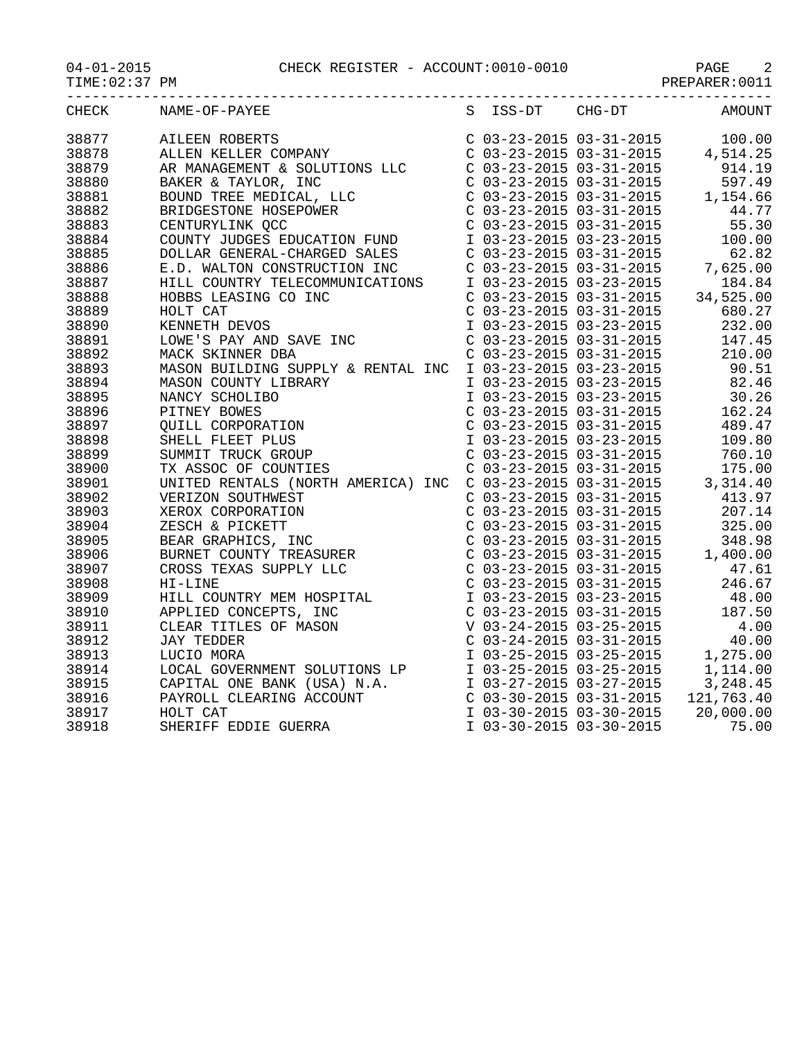|       | $04-01-2015 \hspace{2.3cm} \text{PAGE} \hspace{2.3cm} 2 \\ \text{TIME}: 02:37 \hspace{2.3cm} \text{PM} \hspace{2.3cm} 2 \\ \text{PME}: 02:37 \hspace{2.3cm} \text{PM} \hspace{2.3cm} 3 \\ \text{PME}: 0011 \hspace{2.3cm} 3 \\ \text{PREPARENT}: 0011 \hspace{2.3cm} 3 \\ \text{PREPARENT}: 0011 \hspace{2.3cm} 3 \\ \text{PREPARENT}: 0011 \hspace{2.3cm} 3 \\ \text{PREPARENT}: 0$ |                 |               |
|-------|--------------------------------------------------------------------------------------------------------------------------------------------------------------------------------------------------------------------------------------------------------------------------------------------------------------------------------------------------------------------------------------|-----------------|---------------|
| CHECK | NAME-OF-PAYEE                                                                                                                                                                                                                                                                                                                                                                        | S ISS-DT CHG-DT | <b>AMOUNT</b> |
| 38877 |                                                                                                                                                                                                                                                                                                                                                                                      |                 |               |
| 38878 |                                                                                                                                                                                                                                                                                                                                                                                      |                 |               |
| 38879 |                                                                                                                                                                                                                                                                                                                                                                                      |                 |               |
| 38880 |                                                                                                                                                                                                                                                                                                                                                                                      |                 |               |
| 38881 |                                                                                                                                                                                                                                                                                                                                                                                      |                 |               |
| 38882 |                                                                                                                                                                                                                                                                                                                                                                                      |                 |               |
| 38883 |                                                                                                                                                                                                                                                                                                                                                                                      |                 |               |
|       |                                                                                                                                                                                                                                                                                                                                                                                      |                 |               |
| 38884 |                                                                                                                                                                                                                                                                                                                                                                                      |                 |               |
| 38885 |                                                                                                                                                                                                                                                                                                                                                                                      |                 |               |
| 38886 |                                                                                                                                                                                                                                                                                                                                                                                      |                 |               |
| 38887 |                                                                                                                                                                                                                                                                                                                                                                                      |                 |               |
| 38888 |                                                                                                                                                                                                                                                                                                                                                                                      |                 |               |
| 38889 |                                                                                                                                                                                                                                                                                                                                                                                      |                 |               |
| 38890 |                                                                                                                                                                                                                                                                                                                                                                                      |                 |               |
| 38891 |                                                                                                                                                                                                                                                                                                                                                                                      |                 |               |
| 38892 |                                                                                                                                                                                                                                                                                                                                                                                      |                 |               |
| 38893 |                                                                                                                                                                                                                                                                                                                                                                                      |                 |               |
| 38894 |                                                                                                                                                                                                                                                                                                                                                                                      |                 |               |
| 38895 |                                                                                                                                                                                                                                                                                                                                                                                      |                 |               |
| 38896 |                                                                                                                                                                                                                                                                                                                                                                                      |                 |               |
| 38897 |                                                                                                                                                                                                                                                                                                                                                                                      |                 |               |
| 38898 |                                                                                                                                                                                                                                                                                                                                                                                      |                 |               |
| 38899 |                                                                                                                                                                                                                                                                                                                                                                                      |                 |               |
| 38900 |                                                                                                                                                                                                                                                                                                                                                                                      |                 |               |
| 38901 |                                                                                                                                                                                                                                                                                                                                                                                      |                 |               |
| 38902 |                                                                                                                                                                                                                                                                                                                                                                                      |                 |               |
| 38903 |                                                                                                                                                                                                                                                                                                                                                                                      |                 |               |
| 38904 |                                                                                                                                                                                                                                                                                                                                                                                      |                 |               |
| 38905 |                                                                                                                                                                                                                                                                                                                                                                                      |                 |               |
|       |                                                                                                                                                                                                                                                                                                                                                                                      |                 |               |
| 38906 |                                                                                                                                                                                                                                                                                                                                                                                      |                 |               |
| 38907 |                                                                                                                                                                                                                                                                                                                                                                                      |                 |               |
| 38908 |                                                                                                                                                                                                                                                                                                                                                                                      |                 |               |
| 38909 |                                                                                                                                                                                                                                                                                                                                                                                      |                 |               |
| 38910 |                                                                                                                                                                                                                                                                                                                                                                                      |                 |               |
| 38911 |                                                                                                                                                                                                                                                                                                                                                                                      |                 |               |
| 38912 |                                                                                                                                                                                                                                                                                                                                                                                      |                 |               |
| 38913 |                                                                                                                                                                                                                                                                                                                                                                                      |                 |               |
| 38914 |                                                                                                                                                                                                                                                                                                                                                                                      |                 |               |
| 38915 |                                                                                                                                                                                                                                                                                                                                                                                      |                 |               |
| 38916 |                                                                                                                                                                                                                                                                                                                                                                                      |                 |               |
| 38917 |                                                                                                                                                                                                                                                                                                                                                                                      |                 |               |
| 38918 |                                                                                                                                                                                                                                                                                                                                                                                      |                 |               |